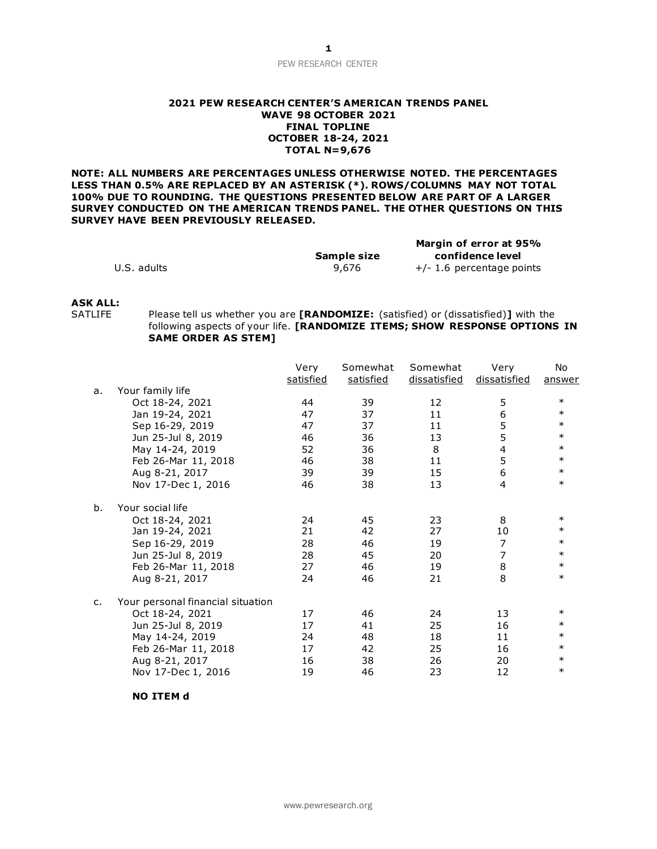## PEW RESEARCH CENTER

### **2021 PEW RESEARCH CENTER'S AMERICAN TRENDS PANEL WAVE 98 OCTOBER 2021 FINAL TOPLINE OCTOBER 18-24, 2021 TOTAL N=9,676**

**NOTE: ALL NUMBERS ARE PERCENTAGES UNLESS OTHERWISE NOTED. THE PERCENTAGES LESS THAN 0.5% ARE REPLACED BY AN ASTERISK (\*). ROWS/COLUMNS MAY NOT TOTAL 100% DUE TO ROUNDING. THE QUESTIONS PRESENTED BELOW ARE PART OF A LARGER SURVEY CONDUCTED ON THE AMERICAN TRENDS PANEL. THE OTHER QUESTIONS ON THIS SURVEY HAVE BEEN PREVIOUSLY RELEASED.**

|             |             | Margin of error at 95%      |  |
|-------------|-------------|-----------------------------|--|
|             | Sample size | confidence level            |  |
| U.S. adults | 9,676       | $+/- 1.6$ percentage points |  |

## **ASK ALL:**

Please tell us whether you are **[RANDOMIZE:** (satisfied) or (dissatisfied)] with the following aspects of your life. **[RANDOMIZE ITEMS; SHOW RESPONSE OPTIONS IN SAME ORDER AS STEM]** 

|    |                                   | Very<br>satisfied | Somewhat<br>satisfied | Somewhat<br>dissatisfied | Very<br>dissatisfied | No<br>answer |
|----|-----------------------------------|-------------------|-----------------------|--------------------------|----------------------|--------------|
| a. | Your family life                  |                   |                       |                          |                      |              |
|    | Oct 18-24, 2021                   | 44                | 39                    | 12                       | 5                    | $\ast$       |
|    | Jan 19-24, 2021                   | 47                | 37                    | 11                       | 6                    | $\ast$       |
|    | Sep 16-29, 2019                   | 47                | 37                    | 11                       | 5                    | $\ast$       |
|    | Jun 25-Jul 8, 2019                | 46                | 36                    | 13                       | 5                    | $\ast$       |
|    | May 14-24, 2019                   | 52                | 36                    | 8                        | 4                    | $\ast$       |
|    | Feb 26-Mar 11, 2018               | 46                | 38                    | 11                       | 5                    | $\ast$       |
|    | Aug 8-21, 2017                    | 39                | 39                    | 15                       | 6                    | $\ast$       |
|    | Nov 17-Dec 1, 2016                | 46                | 38                    | 13                       | $\overline{4}$       | $\ast$       |
| b. | Your social life                  |                   |                       |                          |                      |              |
|    | Oct 18-24, 2021                   | 24                | 45                    | 23                       | 8                    | $\ast$       |
|    | Jan 19-24, 2021                   | 21                | 42                    | 27                       | 10                   | $\ast$       |
|    | Sep 16-29, 2019                   | 28                | 46                    | 19                       | $\overline{7}$       | $\ast$       |
|    | Jun 25-Jul 8, 2019                | 28                | 45                    | 20                       | 7                    | $\ast$       |
|    | Feb 26-Mar 11, 2018               | 27                | 46                    | 19                       | 8                    | $\ast$       |
|    | Aug 8-21, 2017                    | 24                | 46                    | 21                       | 8                    | $\ast$       |
| c. | Your personal financial situation |                   |                       |                          |                      |              |
|    | Oct 18-24, 2021                   | 17                | 46                    | 24                       | 13                   | $\ast$       |
|    | Jun 25-Jul 8, 2019                | 17                | 41                    | 25                       | 16                   | $\ast$       |
|    | May 14-24, 2019                   | 24                | 48                    | 18                       | 11                   | $\ast$       |
|    | Feb 26-Mar 11, 2018               | 17                | 42                    | 25                       | 16                   | $\ast$       |
|    | Aug 8-21, 2017                    | 16                | 38                    | 26                       | 20                   | $\ast$       |
|    | Nov 17-Dec 1, 2016                | 19                | 46                    | 23                       | 12                   | $\ast$       |

**NO ITEM d**